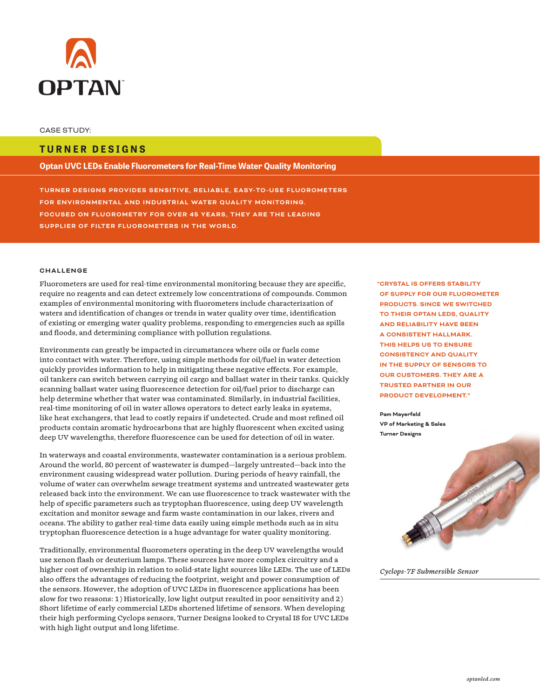

## **TURNER DESIGNS**

**Optan UVC LEDs Enable Fluorometers for Real-Time Water Quality Monitoring**

**TURNER DESIGNS PROVIDES SENSITIVE, RELIABLE, EASY-TO-USE FLUOROMETERS FOR ENVIRONMENTAL AND INDUSTRIAL WATER QUALITY MONITORING. FOCUSED ON FLUOROMETRY FOR OVER 45 YEARS, THEY ARE THE LEADING SUPPLIER OF FILTER FLUOROMETERS IN THE WORLD.**

## **CHALLENGE**

Fluorometers are used for real-time environmental monitoring because they are specific, require no reagents and can detect extremely low concentrations of compounds. Common examples of environmental monitoring with fluorometers include characterization of waters and identification of changes or trends in water quality over time, identification of existing or emerging water quality problems, responding to emergencies such as spills and floods, and determining compliance with pollution regulations.

Environments can greatly be impacted in circumstances where oils or fuels come into contact with water. Therefore, using simple methods for oil/fuel in water detection quickly provides information to help in mitigating these negative effects. For example, oil tankers can switch between carrying oil cargo and ballast water in their tanks. Quickly scanning ballast water using fluorescence detection for oil/fuel prior to discharge can help determine whether that water was contaminated. Similarly, in industrial facilities, real-time monitoring of oil in water allows operators to detect early leaks in systems, like heat exchangers, that lead to costly repairs if undetected. Crude and most refined oil products contain aromatic hydrocarbons that are highly fluorescent when excited using deep UV wavelengths, therefore fluorescence can be used for detection of oil in water.

In waterways and coastal environments, wastewater contamination is a serious problem. Around the world, 80 percent of wastewater is dumped—largely untreated—back into the environment causing widespread water pollution. During periods of heavy rainfall, the volume of water can overwhelm sewage treatment systems and untreated wastewater gets released back into the environment. We can use fluorescence to track wastewater with the help of specific parameters such as tryptophan fluorescence, using deep UV wavelength excitation and monitor sewage and farm waste contamination in our lakes, rivers and oceans. The ability to gather real-time data easily using simple methods such as in situ tryptophan fluorescence detection is a huge advantage for water quality monitoring.

Traditionally, environmental fluorometers operating in the deep UV wavelengths would use xenon flash or deuterium lamps. These sources have more complex circuitry and a higher cost of ownership in relation to solid-state light sources like LEDs. The use of LEDs also offers the advantages of reducing the footprint, weight and power consumption of the sensors. However, the adoption of UVC LEDs in fluorescence applications has been slow for two reasons: 1) Historically, low light output resulted in poor sensitivity and 2) Short lifetime of early commercial LEDs shortened lifetime of sensors. When developing their high performing Cyclops sensors, Turner Designs looked to Crystal IS for UVC LEDs with high light output and long lifetime.

**"CRYSTAL IS OFFERS STABILITY OF SUPPLY FOR OUR FLUOROMETER PRODUCTS. SINCE WE SWITCHED TO THEIR OPTAN LEDS, QUALITY AND RELIABILITY HAVE BEEN A CONSISTENT HALLMARK. THIS HELPS US TO ENSURE CONSISTENCY AND QUALITY IN THE SUPPLY OF SENSORS TO OUR CUSTOMERS. THEY ARE A TRUSTED PARTNER IN OUR PRODUCT DEVELOPMENT."** 

**Pam Mayerfeld VP of Marketing & Sales Turner Designs**



*Cyclops-7F Submersible Sensor*